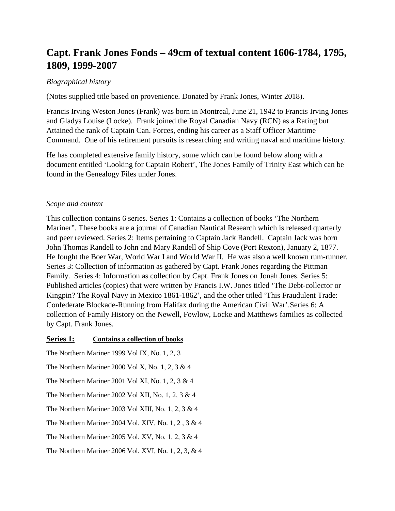# **Capt. Frank Jones Fonds – 49cm of textual content 1606-1784, 1795, 1809, 1999-2007**

## *Biographical history*

(Notes supplied title based on provenience. Donated by Frank Jones, Winter 2018).

Francis Irving Weston Jones (Frank) was born in Montreal, June 21, 1942 to Francis Irving Jones and Gladys Louise (Locke). Frank joined the Royal Canadian Navy (RCN) as a Rating but Attained the rank of Captain Can. Forces, ending his career as a Staff Officer Maritime Command. One of his retirement pursuits is researching and writing naval and maritime history.

He has completed extensive family history, some which can be found below along with a document entitled 'Looking for Captain Robert', The Jones Family of Trinity East which can be found in the Genealogy Files under Jones.

### *Scope and content*

This collection contains 6 series. Series 1: Contains a collection of books 'The Northern Mariner". These books are a journal of Canadian Nautical Research which is released quarterly and peer reviewed. Series 2: Items pertaining to Captain Jack Randell. Captain Jack was born John Thomas Randell to John and Mary Randell of Ship Cove (Port Rexton), January 2, 1877. He fought the Boer War, World War I and World War II. He was also a well known rum-runner. Series 3: Collection of information as gathered by Capt. Frank Jones regarding the Pittman Family. Series 4: Information as collection by Capt. Frank Jones on Jonah Jones. Series 5: Published articles (copies) that were written by Francis I.W. Jones titled 'The Debt-collector or Kingpin? The Royal Navy in Mexico 1861-1862', and the other titled 'This Fraudulent Trade: Confederate Blockade-Running from Halifax during the American Civil War'.Series 6: A collection of Family History on the Newell, Fowlow, Locke and Matthews families as collected by Capt. Frank Jones.

#### **Series 1: Contains a collection of books**

The Northern Mariner 1999 Vol IX, No. 1, 2, 3 The Northern Mariner 2000 Vol X, No. 1, 2, 3 & 4 The Northern Mariner 2001 Vol XI, No. 1, 2, 3 & 4 The Northern Mariner 2002 Vol XII, No. 1, 2, 3 & 4 The Northern Mariner 2003 Vol XIII, No. 1, 2, 3 & 4 The Northern Mariner 2004 Vol. XIV, No. 1, 2 , 3 & 4 The Northern Mariner 2005 Vol. XV, No. 1, 2, 3 & 4 The Northern Mariner 2006 Vol. XVI, No. 1, 2, 3, & 4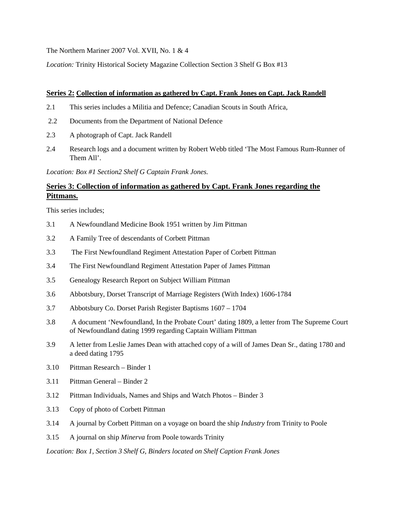The Northern Mariner 2007 Vol. XVII, No. 1 & 4

*Location:* Trinity Historical Society Magazine Collection Section 3 Shelf G Box #13

#### **Series 2: Collection of information as gathered by Capt. Frank Jones on Capt. Jack Randell**

- 2.1 This series includes a Militia and Defence; Canadian Scouts in South Africa,
- 2.2 Documents from the Department of National Defence
- 2.3 A photograph of Capt. Jack Randell
- 2.4 Research logs and a document written by Robert Webb titled 'The Most Famous Rum-Runner of Them All'.

*Location: Box #1 Section2 Shelf G Captain Frank Jones.*

## **Series 3: Collection of information as gathered by Capt. Frank Jones regarding the Pittmans.**

This series includes;

- 3.1 A Newfoundland Medicine Book 1951 written by Jim Pittman
- 3.2 A Family Tree of descendants of Corbett Pittman
- 3.3 The First Newfoundland Regiment Attestation Paper of Corbett Pittman
- 3.4 The First Newfoundland Regiment Attestation Paper of James Pittman
- 3.5 Genealogy Research Report on Subject William Pittman
- 3.6 Abbotsbury, Dorset Transcript of Marriage Registers (With Index) 1606-1784
- 3.7 Abbotsbury Co. Dorset Parish Register Baptisms 1607 1704
- 3.8 A document 'Newfoundland, In the Probate Court' dating 1809, a letter from The Supreme Court of Newfoundland dating 1999 regarding Captain William Pittman
- 3.9 A letter from Leslie James Dean with attached copy of a will of James Dean Sr., dating 1780 and a deed dating 1795
- 3.10 Pittman Research Binder 1
- 3.11 Pittman General Binder 2
- 3.12 Pittman Individuals, Names and Ships and Watch Photos Binder 3
- 3.13 Copy of photo of Corbett Pittman
- 3.14 A journal by Corbett Pittman on a voyage on board the ship *Industry* from Trinity to Poole
- 3.15 A journal on ship *Minerva* from Poole towards Trinity

*Location: Box 1, Section 3 Shelf G, Binders located on Shelf Caption Frank Jones*